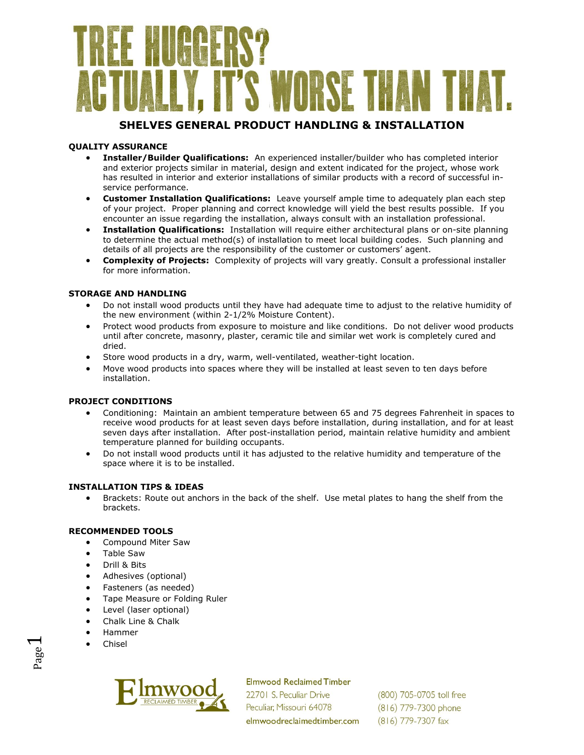# I'S WORSE THAN

### **SHELVES GENERAL PRODUCT HANDLING & INSTALLATION**

#### **QUALITY ASSURANCE**

- **Installer/Builder Qualifications:** An experienced installer/builder who has completed interior and exterior projects similar in material, design and extent indicated for the project, whose work has resulted in interior and exterior installations of similar products with a record of successful inservice performance.
- **Customer Installation Qualifications:** Leave yourself ample time to adequately plan each step of your project. Proper planning and correct knowledge will yield the best results possible. If you encounter an issue regarding the installation, always consult with an installation professional.
- **Installation Qualifications:** Installation will require either architectural plans or on-site planning to determine the actual method(s) of installation to meet local building codes. Such planning and details of all projects are the responsibility of the customer or customers' agent.
- **Complexity of Projects:** Complexity of projects will vary greatly. Consult a professional installer for more information.

#### **STORAGE AND HANDLING**

- Do not install wood products until they have had adequate time to adjust to the relative humidity of the new environment (within 2-1/2% Moisture Content).
- Protect wood products from exposure to moisture and like conditions. Do not deliver wood products until after concrete, masonry, plaster, ceramic tile and similar wet work is completely cured and dried.
- Store wood products in a dry, warm, well-ventilated, weather-tight location.
- Move wood products into spaces where they will be installed at least seven to ten days before installation.

#### **PROJECT CONDITIONS**

- Conditioning: Maintain an ambient temperature between 65 and 75 degrees Fahrenheit in spaces to receive wood products for at least seven days before installation, during installation, and for at least seven days after installation. After post-installation period, maintain relative humidity and ambient temperature planned for building occupants.
- Do not install wood products until it has adjusted to the relative humidity and temperature of the space where it is to be installed.

#### **INSTALLATION TIPS & IDEAS**

 Brackets: Route out anchors in the back of the shelf. Use metal plates to hang the shelf from the brackets.

#### **RECOMMENDED TOOLS**

- Compound Miter Saw
- Table Saw
- Drill & Bits
- Adhesives (optional)
- Fasteners (as needed)
- **•** Tape Measure or Folding Ruler
- Level (laser optional)
- Chalk Line & Chalk
- Hammer
- Chisel



**Elmwood Reclaimed Timber** 

22701 S. Peculiar Drive Peculiar, Missouri 64078 elmwoodreclaimedtimber.com

(800) 705-0705 toll free (816) 779-7300 phone (816) 779-7307 fax